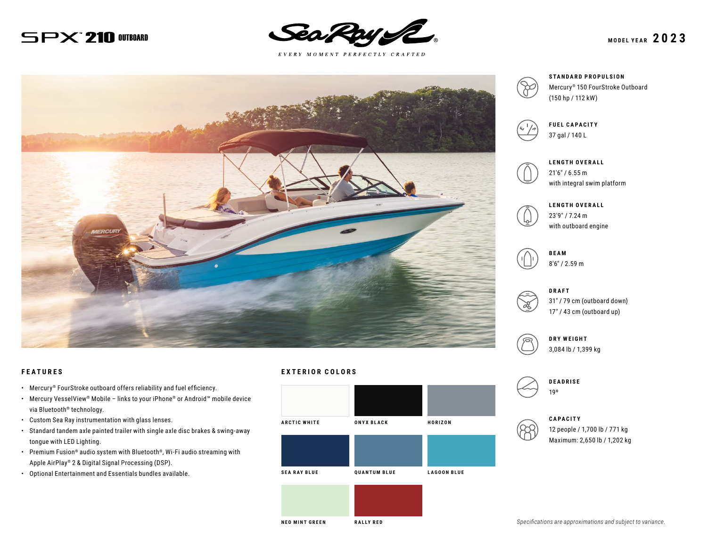## $SPX^*210$  Outboard



 $E \; V \; E \; R \; Y \quad M \; O \; M \; E \; N \; T \quad P \; E \; R \; F \; E \; C \; T \; L \; Y \quad C \; R \; A \; F \; T \; E \; D$ 



#### **FEATURES**

- Mercury® FourStroke outboard offers reliability and fuel efficiency.
- Mercury VesselView® Mobile links to your iPhone® or Android™ mobile device via Bluetooth® technology.
- Custom Sea Ray instrumentation with glass lenses.
- Standard tandem axle painted trailer with single axle disc brakes & swing-away tongue with LED Lighting.
- Premium Fusion® audio system with Bluetooth®, Wi-Fi audio streaming with Apple AirPlay® 2 & Digital Signal Processing (DSP).
- Optional Entertainment and Essentials bundles available.

#### **EXTERIOR COLORS**







**FUEL CAPACITY** 37 gal / 140 L



**LENGTH OVERALL** 21′6″ / 6.55 m with integral swim platform



**LENGTH OVERALL** 23′9″ / 7.24 m

**BEAM** 8′6″ / 2.59 m



31″ / 79 cm (outboard down) 17″ / 43 cm (outboard up)



3,084 lb / 1,399 kg



**CAPACITY**

12 people / 1,700 lb / 771 kg Maximum: 2,650 lb / 1,202 kg

**NEO MINT GREEN RALLY RED**

*Specifications are approximations and subject to variance.*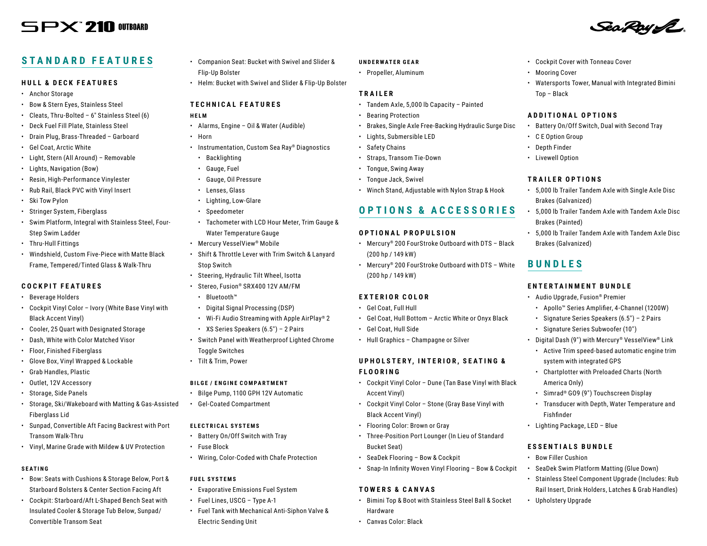# $S$  $PX$   $210$  outboard

# Sea Roy SE

• Cockpit Cover with Tonneau Cover

**ADDITIONAL OPTIONS**

• Watersports Tower, Manual with Integrated Bimini

• Battery On/Off Switch, Dual with Second Tray

• 5,000 lb Trailer Tandem Axle with Single Axle Disc

• 5,000 lb Trailer Tandem Axle with Tandem Axle Disc

• 5,000 lb Trailer Tandem Axle with Tandem Axle Disc

• Apollo™ Series Amplifier, 4-Channel (1200W) • Signature Series Speakers (6.5″) – 2 Pairs • Signature Series Subwoofer (10″) • Digital Dash (9″) with Mercury® VesselView® Link • Active Trim speed-based automatic engine trim

• Chartplotter with Preloaded Charts (North

• Simrad® GO9 (9″) Touchscreen Display • Transducer with Depth, Water Temperature and

• SeaDek Swim Platform Matting (Glue Down) • Stainless Steel Component Upgrade (Includes: Rub Rail Insert, Drink Holders, Latches & Grab Handles)

• Mooring Cover

Top – Black

• C E Option Group • Depth Finder • Livewell Option

**TRAILER OPTIONS**

Brakes (Galvanized)

Brakes (Galvanized)

**ENTERTAINMENT BUNDLE** • Audio Upgrade, Fusion® Premier

system with integrated GPS

America Only)

Fishfinder

• Upholstery Upgrade

• Lighting Package, LED – Blue

**ESSENTIALS BUNDLE** • Bow Filler Cushion

Brakes (Painted)

**BUNDLES**

### **STANDARD FEATURES**

#### **HULL & DECK FEATURES**

- Anchor Storage
- Bow & Stern Eyes, Stainless Steel
- Cleats, Thru-Bolted 6″ Stainless Steel (6)
- Deck Fuel Fill Plate, Stainless Steel
- Drain Plug, Brass-Threaded Garboard
- Gel Coat, Arctic White
- Light, Stern (All Around) Removable
- Lights, Navigation (Bow)
- Resin, High-Performance Vinylester
- Rub Rail, Black PVC with Vinyl Insert
- Ski Tow Pylon
- Stringer System, Fiberglass
- Swim Platform, Integral with Stainless Steel, Four-Step Swim Ladder
- Thru-Hull Fittings
- Windshield, Custom Five-Piece with Matte Black Frame, Tempered/Tinted Glass & Walk-Thru

#### **COCKPIT FEATURES**

- Beverage Holders
- Cockpit Vinyl Color Ivory (White Base Vinyl with Black Accent Vinyl)
- Cooler, 25 Quart with Designated Storage
- Dash, White with Color Matched Visor
- Floor, Finished Fiberglass
- Glove Box, Vinyl Wrapped & Lockable
- Grab Handles, Plastic
- Outlet, 12V Accessory
- Storage, Side Panels
- Storage, Ski/Wakeboard with Matting & Gas-Assisted Fiberglass Lid
- Sunpad, Convertible Aft Facing Backrest with Port Transom Walk-Thru
- Vinyl, Marine Grade with Mildew & UV Protection

#### **SEATING**

- Bow: Seats with Cushions & Storage Below, Port & Starboard Bolsters & Center Section Facing Aft
- Cockpit: Starboard/Aft L-Shaped Bench Seat with Insulated Cooler & Storage Tub Below, Sunpad/ Convertible Transom Seat
- Companion Seat: Bucket with Swivel and Slider & Flip-Up Bolster
- Helm: Bucket with Swivel and Slider & Flip-Up Bolster

#### **TECHNICAL FEATURES**

#### **HELM**

- Alarms, Engine Oil & Water (Audible)
- Horn
- Instrumentation, Custom Sea Ray® Diagnostics
- Backlighting
- Gauge, Fuel
- Gauge, Oil Pressure
- Lenses, Glass
- Lighting, Low-Glare
- Speedometer
- Tachometer with LCD Hour Meter, Trim Gauge & Water Temperature Gauge
- Mercury VesselView® Mobile
- Shift & Throttle Lever with Trim Switch & Lanyard Stop Switch
- Steering, Hydraulic Tilt Wheel, Isotta
- Stereo, Fusion® SRX400 12V AM/FM
- Bluetooth™
- Digital Signal Processing (DSP)
- Wi-Fi Audio Streaming with Apple AirPlay® 2
- XS Series Speakers (6.5″) 2 Pairs
- Switch Panel with Weatherproof Lighted Chrome Toggle Switches
- Tilt & Trim, Power
- **BILGE / ENGINE COMPARTMENT**
- Bilge Pump, 1100 GPH 12V Automatic
- Gel-Coated Compartment

#### **ELECTRICAL SYSTEMS**

- Battery On/Off Switch with Tray
- Fuse Block
- Wiring, Color-Coded with Chafe Protection

#### **FUEL SYSTEMS**

- Evaporative Emissions Fuel System
- Fuel Lines, USCG Type A-1
- Fuel Tank with Mechanical Anti-Siphon Valve & Electric Sending Unit

#### **UNDERWATER GEAR**

• Propeller, Aluminum

#### **TRAILER**

- Tandem Axle, 5,000 lb Capacity Painted
- Bearing Protection
- Brakes, Single Axle Free-Backing Hydraulic Surge Disc
- Lights, Submersible LED
- Safety Chains
- Straps, Transom Tie-Down
- Tongue, Swing Away
- Tongue Jack, Swivel
- Winch Stand, Adjustable with Nylon Strap & Hook

### **OPTIONS & ACCESSORIES**

#### **OPTIONAL PROPULSION**

- Mercury® 200 FourStroke Outboard with DTS Black (200 hp / 149 kW)
- Mercury® 200 FourStroke Outboard with DTS White (200 hp / 149 kW)

#### **EXTERIOR COLOR**

- Gel Coat, Full Hull
- Gel Coat, Hull Bottom Arctic White or Onyx Black
- Gel Coat, Hull Side
- Hull Graphics Champagne or Silver

#### **U P H O L S T E R Y , I N T E R I O R , S E A T I N G & FLOORING**

- Cockpit Vinyl Color Dune (Tan Base Vinyl with Black Accent Vinyl)
- Cockpit Vinyl Color Stone (Gray Base Vinyl with Black Accent Vinyl)
- Flooring Color: Brown or Gray
- Three-Position Port Lounger (In Lieu of Standard Bucket Seat)
- SeaDek Flooring Bow & Cockpit
- Snap-In Infinity Woven Vinyl Flooring Bow & Cockpit

#### **TOWERS & CANVAS**

• Canvas Color: Black

• Bimini Top & Boot with Stainless Steel Ball & Socket Hardware